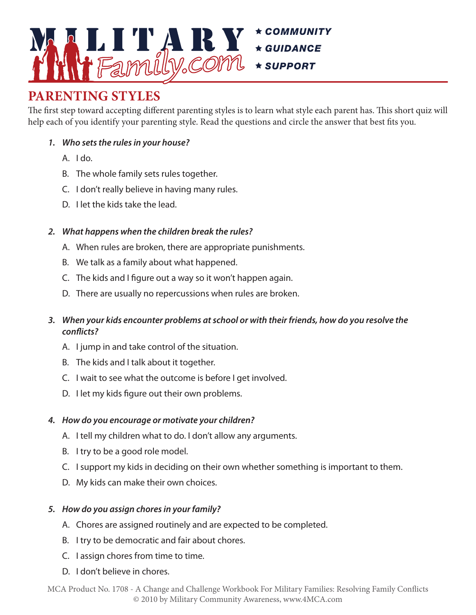

#### PARENTING STYLES The first step toward accepting different parenting styles is to learn what style each parent has.

The first step toward accepting different parenting styles is to learn what style each parent has. This short quiz will help each of you identify your parenting style. Read the questions and circle the answer that best fits you. Read the questions and circle the answer that best fits you.

#### *1. Who sets the rules in your house?*

- $A.$   $Ido.$
- B. The whole family sets rules together.
- C. I don't really believe in having many rules.
- D. I let the kids take the lead.

#### *2. What happens when the children break the rules?*

- A. When rules are broken, there are appropriate punishments.
- B. We talk as a family about what happened.
- C. The kids and I figure out a way so it won't happen again.
- D. There are usually no repercussions when rules are broken.

# *3. When your kids encounter problems at school or with their friends, how do you resolve the conflicts?*

- A. I jump in and take control of the situation.
- B. The kids and I talk about it together.
- C. I wait to see what the outcome is before I get involved.
- D. I let my kids figure out their own problems.

# *4. How do you encourage or motivate your children?*

- A. I tell my children what to do. I don't allow any arguments.
- B. I try to be a good role model.
- C. I support my kids in deciding on their own whether something is important to them.
- D. My kids can make their own choices.

# *5. How do you assign chores in your family?*

- A. Chores are assigned routinely and are expected to be completed.
- B. I try to be democratic and fair about chores.
- C. I assign chores from time to time.
- D. I don't believe in chores.